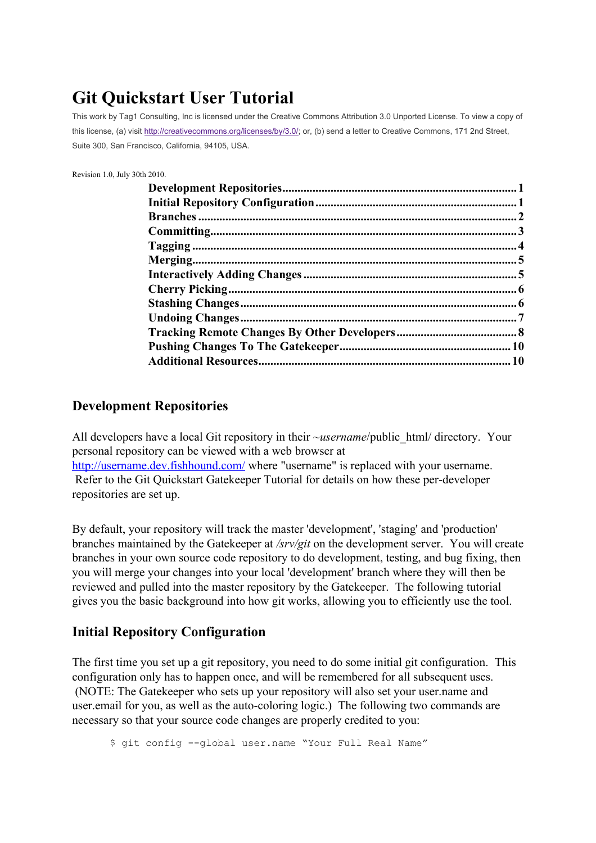# **Git Quickstart User Tutorial**

This work by Tag1 Consulting, Inc is licensed under the Creative Commons Attribution 3.0 Unported License. To view a copy of this license, (a) visit [http://creativecommons.org/licenses/by/3.0/;](http://creativecommons.org/licenses/by/3.0/) or, (b) send a letter to Creative Commons, 171 2nd Street, Suite 300, San Francisco, California, 94105, USA.

Revision 1.0, July 30th 2010.

#### <span id="page-0-0"></span>**Development Repositories**

All developers have a local Git repository in their ~*username*/public\_html/ directory. Your personal repository can be viewed with a web browser at <http://username.dev.fishhound.com/> where "username" is replaced with your username. Refer to the Git Quickstart Gatekeeper Tutorial for details on how these per-developer repositories are set up.

By default, your repository will track the master 'development', 'staging' and 'production' branches maintained by the Gatekeeper at */srv/git* on the development server. You will create branches in your own source code repository to do development, testing, and bug fixing, then you will merge your changes into your local 'development' branch where they will then be reviewed and pulled into the master repository by the Gatekeeper. The following tutorial gives you the basic background into how git works, allowing you to efficiently use the tool.

#### <span id="page-0-1"></span>**Initial Repository Configuration**

The first time you set up a git repository, you need to do some initial git configuration. This configuration only has to happen once, and will be remembered for all subsequent uses. (NOTE: The Gatekeeper who sets up your repository will also set your user.name and user.email for you, as well as the auto-coloring logic.) The following two commands are necessary so that your source code changes are properly credited to you:

\$ git config --global user.name "Your Full Real Name"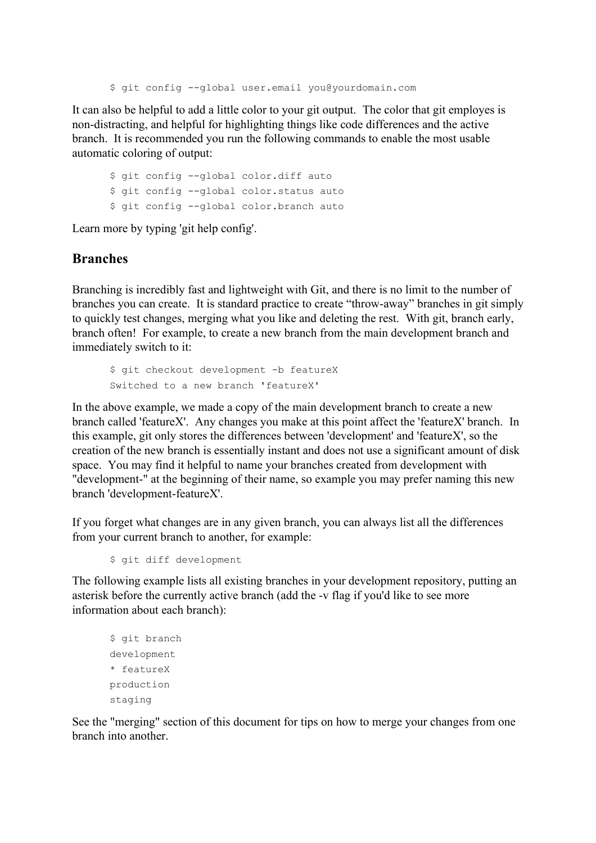\$ git config --global user.email you@yourdomain.com

It can also be helpful to add a little color to your git output. The color that git employes is non-distracting, and helpful for highlighting things like code differences and the active branch. It is recommended you run the following commands to enable the most usable automatic coloring of output:

```
$ git config --global color.diff auto
$ git config --global color.status auto
$ git config --global color.branch auto
```
Learn more by typing 'git help config'.

#### <span id="page-1-0"></span>**Branches**

Branching is incredibly fast and lightweight with Git, and there is no limit to the number of branches you can create. It is standard practice to create "throw-away" branches in git simply to quickly test changes, merging what you like and deleting the rest. With git, branch early, branch often! For example, to create a new branch from the main development branch and immediately switch to it:

```
$ git checkout development -b featureX
Switched to a new branch 'featureX'
```
In the above example, we made a copy of the main development branch to create a new branch called 'featureX'. Any changes you make at this point affect the 'featureX' branch. In this example, git only stores the differences between 'development' and 'featureX', so the creation of the new branch is essentially instant and does not use a significant amount of disk space. You may find it helpful to name your branches created from development with "development-" at the beginning of their name, so example you may prefer naming this new branch 'development-featureX'.

If you forget what changes are in any given branch, you can always list all the differences from your current branch to another, for example:

```
$ git diff development
```
The following example lists all existing branches in your development repository, putting an asterisk before the currently active branch (add the -v flag if you'd like to see more information about each branch):

```
$ git branch
development
* featureX
production
staging
```
See the "merging" section of this document for tips on how to merge your changes from one branch into another.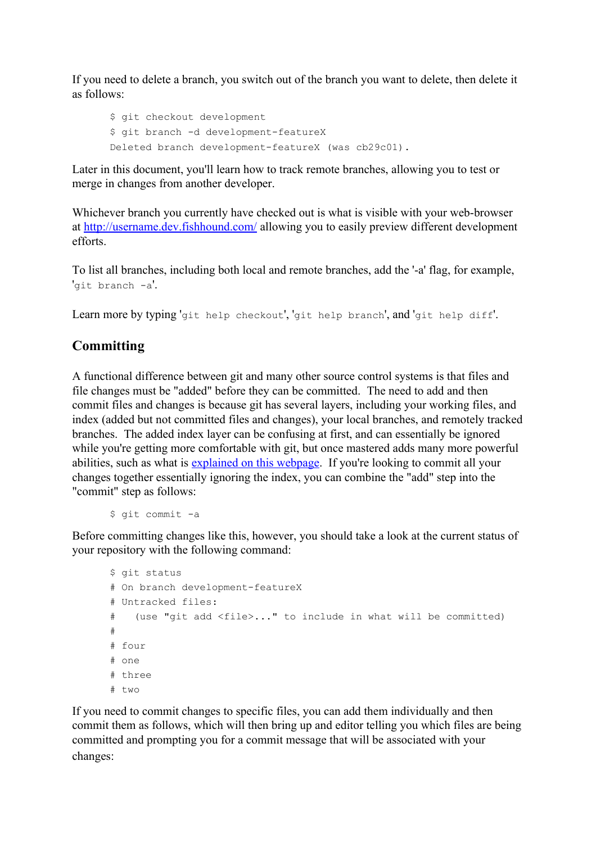If you need to delete a branch, you switch out of the branch you want to delete, then delete it as follows:

```
$ git checkout development
$ git branch -d development-featureX
Deleted branch development-featureX (was cb29c01).
```
Later in this document, you'll learn how to track remote branches, allowing you to test or merge in changes from another developer.

Whichever branch you currently have checked out is what is visible with your web-browser at <http://username.dev.fishhound.com/> allowing you to easily preview different development efforts.

To list all branches, including both local and remote branches, add the '-a' flag, for example, 'git branch -a'.

Learn more by typing 'git help checkout', 'git help branch', and 'git help diff'.

# <span id="page-2-0"></span>**Committing**

A functional difference between git and many other source control systems is that files and file changes must be "added" before they can be committed. The need to add and then commit files and changes is because git has several layers, including your working files, and index (added but not committed files and changes), your local branches, and remotely tracked branches. The added index layer can be confusing at first, and can essentially be ignored while you're getting more comfortable with git, but once mastered adds many more powerful abilities, such as what is [explained on this webpage.](http://osteele.com/archives/2008/05/my-git-workflow) If you're looking to commit all your changes together essentially ignoring the index, you can combine the "add" step into the "commit" step as follows:

\$ git commit -a

Before committing changes like this, however, you should take a look at the current status of your repository with the following command:

```
$ git status
# On branch development-featureX
# Untracked files:
# (use "git add <file>..." to include in what will be committed)
#
# four
# one
# three
# two
```
If you need to commit changes to specific files, you can add them individually and then commit them as follows, which will then bring up and editor telling you which files are being committed and prompting you for a commit message that will be associated with your changes: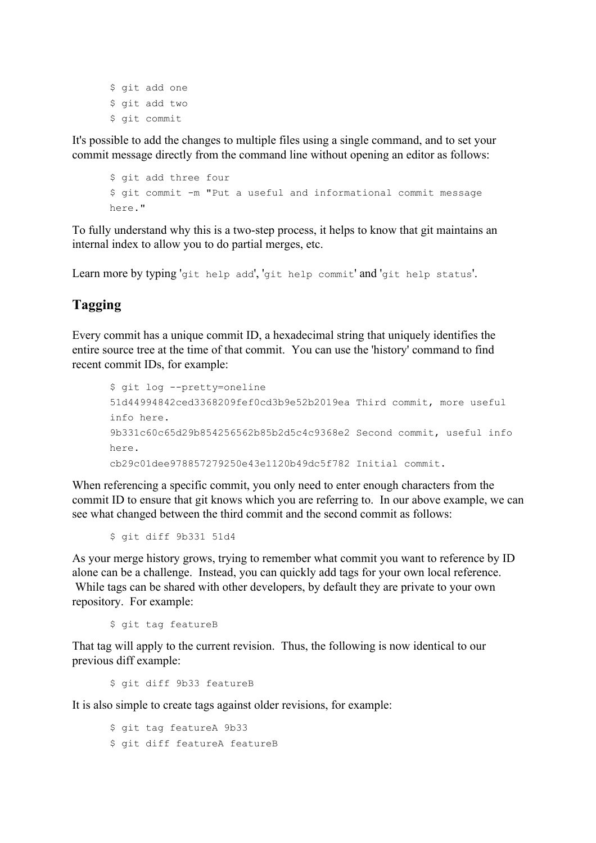\$ qit add one \$ git add two \$ git commit

It's possible to add the changes to multiple files using a single command, and to set your commit message directly from the command line without opening an editor as follows:

```
$ git add three four
$ git commit -m "Put a useful and informational commit message
here."
```
To fully understand why this is a two-step process, it helps to know that git maintains an internal index to allow you to do partial merges, etc.

Learn more by typing 'git help add', 'git help commit' and 'git help status'.

#### <span id="page-3-0"></span>**Tagging**

Every commit has a unique commit ID, a hexadecimal string that uniquely identifies the entire source tree at the time of that commit. You can use the 'history' command to find recent commit IDs, for example:

```
$ git log --pretty=oneline
51d44994842ced3368209fef0cd3b9e52b2019ea Third commit, more useful
info here.
9b331c60c65d29b854256562b85b2d5c4c9368e2 Second commit, useful info
here.
cb29c01dee978857279250e43e1120b49dc5f782 Initial commit.
```
When referencing a specific commit, you only need to enter enough characters from the commit ID to ensure that git knows which you are referring to. In our above example, we can see what changed between the third commit and the second commit as follows:

\$ git diff 9b331 51d4

As your merge history grows, trying to remember what commit you want to reference by ID alone can be a challenge. Instead, you can quickly add tags for your own local reference. While tags can be shared with other developers, by default they are private to your own repository. For example:

\$ git tag featureB

That tag will apply to the current revision. Thus, the following is now identical to our previous diff example:

\$ git diff 9b33 featureB

It is also simple to create tags against older revisions, for example:

\$ git tag featureA 9b33 \$ git diff featureA featureB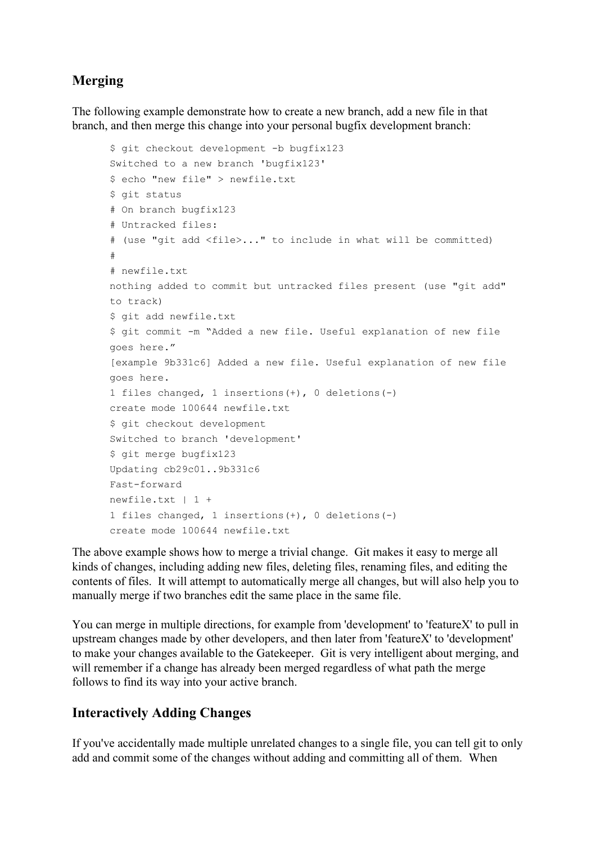# <span id="page-4-0"></span>**Merging**

The following example demonstrate how to create a new branch, add a new file in that branch, and then merge this change into your personal bugfix development branch:

```
$ git checkout development -b bugfix123
Switched to a new branch 'bugfix123'
$ echo "new file" > newfile.txt
$ git status
# On branch bugfix123
# Untracked files:
# (use "git add <file>..." to include in what will be committed)
#
# newfile.txt
nothing added to commit but untracked files present (use "git add"
to track)
$ git add newfile.txt
$ git commit -m "Added a new file. Useful explanation of new file
goes here."
[example 9b331c6] Added a new file. Useful explanation of new file
goes here.
1 files changed, 1 insertions(+), 0 deletions(-)
create mode 100644 newfile.txt
$ git checkout development
Switched to branch 'development'
$ git merge bugfix123
Updating cb29c01..9b331c6
Fast-forward
newfile.txt | 1 +
1 files changed, 1 insertions(+), 0 deletions(-)
create mode 100644 newfile.txt
```
The above example shows how to merge a trivial change. Git makes it easy to merge all kinds of changes, including adding new files, deleting files, renaming files, and editing the contents of files. It will attempt to automatically merge all changes, but will also help you to manually merge if two branches edit the same place in the same file.

You can merge in multiple directions, for example from 'development' to 'featureX' to pull in upstream changes made by other developers, and then later from 'featureX' to 'development' to make your changes available to the Gatekeeper. Git is very intelligent about merging, and will remember if a change has already been merged regardless of what path the merge follows to find its way into your active branch.

#### <span id="page-4-1"></span>**Interactively Adding Changes**

If you've accidentally made multiple unrelated changes to a single file, you can tell git to only add and commit some of the changes without adding and committing all of them. When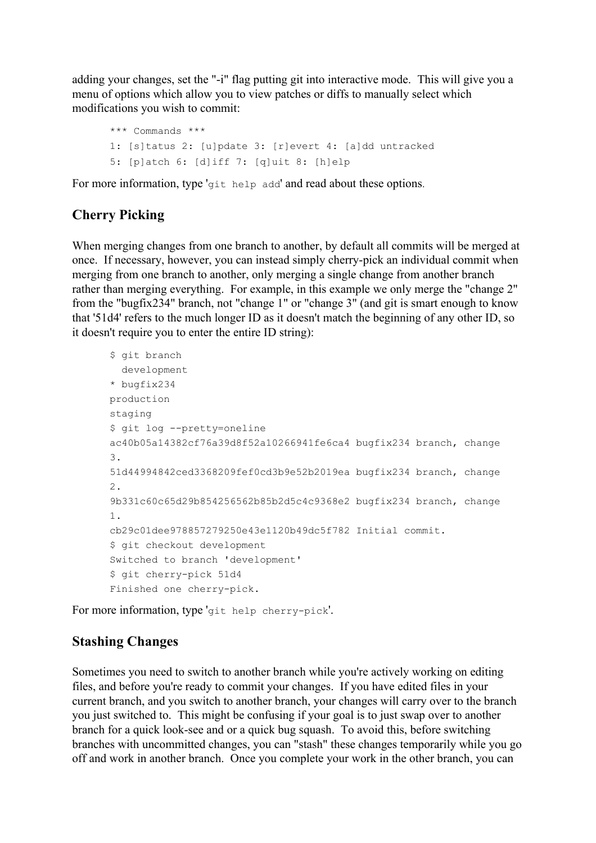adding your changes, set the "-i" flag putting git into interactive mode. This will give you a menu of options which allow you to view patches or diffs to manually select which modifications you wish to commit:

```
*** Commands ***
1: [s]tatus 2: [u]pdate 3: [r]evert 4: [a]dd untracked
5: [p]atch 6: [d]iff 7: [q]uit 8: [h]elp
```
For more information, type 'git help add' and read about these options.

# <span id="page-5-0"></span>**Cherry Picking**

When merging changes from one branch to another, by default all commits will be merged at once. If necessary, however, you can instead simply cherry-pick an individual commit when merging from one branch to another, only merging a single change from another branch rather than merging everything. For example, in this example we only merge the "change 2" from the "bugfix234" branch, not "change 1" or "change 3" (and git is smart enough to know that '51d4' refers to the much longer ID as it doesn't match the beginning of any other ID, so it doesn't require you to enter the entire ID string):

```
$ git branch
  development
* bugfix234
production
staging
$ git log --pretty=oneline
ac40b05a14382cf76a39d8f52a10266941fe6ca4 bugfix234 branch, change
3.
51d44994842ced3368209fef0cd3b9e52b2019ea bugfix234 branch, change
2.
9b331c60c65d29b854256562b85b2d5c4c9368e2 bugfix234 branch, change
1.
cb29c01dee978857279250e43e1120b49dc5f782 Initial commit.
$ git checkout development
Switched to branch 'development'
$ git cherry-pick 51d4
Finished one cherry-pick.
```
For more information, type 'git help cherry-pick'.

# <span id="page-5-1"></span>**Stashing Changes**

Sometimes you need to switch to another branch while you're actively working on editing files, and before you're ready to commit your changes. If you have edited files in your current branch, and you switch to another branch, your changes will carry over to the branch you just switched to. This might be confusing if your goal is to just swap over to another branch for a quick look-see and or a quick bug squash. To avoid this, before switching branches with uncommitted changes, you can "stash" these changes temporarily while you go off and work in another branch. Once you complete your work in the other branch, you can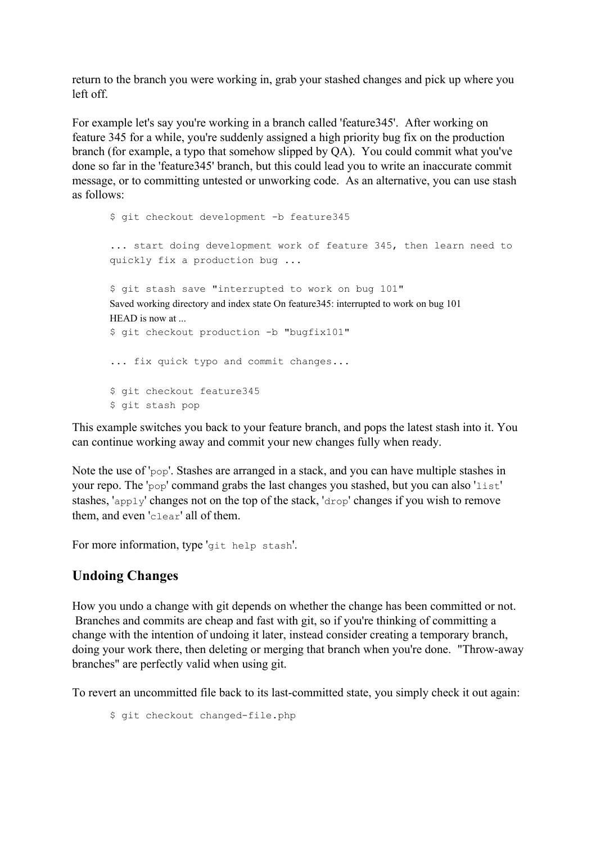return to the branch you were working in, grab your stashed changes and pick up where you left off.

For example let's say you're working in a branch called 'feature345'. After working on feature 345 for a while, you're suddenly assigned a high priority bug fix on the production branch (for example, a typo that somehow slipped by QA). You could commit what you've done so far in the 'feature345' branch, but this could lead you to write an inaccurate commit message, or to committing untested or unworking code. As an alternative, you can use stash as follows:

```
$ git checkout development -b feature345
... start doing development work of feature 345, then learn need to
quickly fix a production bug ...
$ git stash save "interrupted to work on bug 101"
Saved working directory and index state On feature345: interrupted to work on bug 101
HEAD is now at
$ git checkout production -b "bugfix101"
... fix quick typo and commit changes...
$ git checkout feature345
$ git stash pop
```
This example switches you back to your feature branch, and pops the latest stash into it. You can continue working away and commit your new changes fully when ready.

Note the use of 'pop'. Stashes are arranged in a stack, and you can have multiple stashes in your repo. The 'pop' command grabs the last changes you stashed, but you can also 'list' stashes, 'apply' changes not on the top of the stack, 'drop' changes if you wish to remove them, and even 'clear' all of them.

For more information, type 'git help stash'.

#### <span id="page-6-0"></span>**Undoing Changes**

How you undo a change with git depends on whether the change has been committed or not. Branches and commits are cheap and fast with git, so if you're thinking of committing a change with the intention of undoing it later, instead consider creating a temporary branch, doing your work there, then deleting or merging that branch when you're done. "Throw-away branches" are perfectly valid when using git.

To revert an uncommitted file back to its last-committed state, you simply check it out again:

\$ git checkout changed-file.php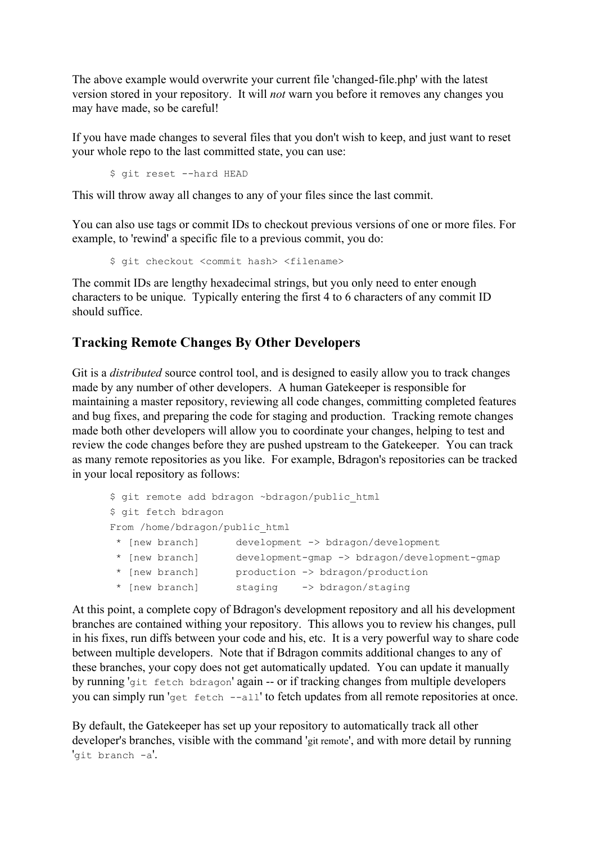The above example would overwrite your current file 'changed-file.php' with the latest version stored in your repository. It will *not* warn you before it removes any changes you may have made, so be careful!

If you have made changes to several files that you don't wish to keep, and just want to reset your whole repo to the last committed state, you can use:

\$ git reset --hard HEAD

This will throw away all changes to any of your files since the last commit.

You can also use tags or commit IDs to checkout previous versions of one or more files. For example, to 'rewind' a specific file to a previous commit, you do:

```
$ git checkout <commit hash> <filename>
```
The commit IDs are lengthy hexadecimal strings, but you only need to enter enough characters to be unique. Typically entering the first 4 to 6 characters of any commit ID should suffice.

#### <span id="page-7-0"></span>**Tracking Remote Changes By Other Developers**

Git is a *distributed* source control tool, and is designed to easily allow you to track changes made by any number of other developers. A human Gatekeeper is responsible for maintaining a master repository, reviewing all code changes, committing completed features and bug fixes, and preparing the code for staging and production. Tracking remote changes made both other developers will allow you to coordinate your changes, helping to test and review the code changes before they are pushed upstream to the Gatekeeper. You can track as many remote repositories as you like. For example, Bdragon's repositories can be tracked in your local repository as follows:

```
$ git remote add bdragon ~bdragon/public html
$ git fetch bdragon
From /home/bdragon/public html
* [new branch] development -> bdragon/development
 * [new branch] development-gmap -> bdragon/development-gmap
 * [new branch] production -> bdragon/production
* [new branch] staging -> bdragon/staging
```
At this point, a complete copy of Bdragon's development repository and all his development branches are contained withing your repository. This allows you to review his changes, pull in his fixes, run diffs between your code and his, etc. It is a very powerful way to share code between multiple developers. Note that if Bdragon commits additional changes to any of these branches, your copy does not get automatically updated. You can update it manually by running 'git fetch bdragon' again -- or if tracking changes from multiple developers you can simply run 'get fetch --all' to fetch updates from all remote repositories at once.

By default, the Gatekeeper has set up your repository to automatically track all other developer's branches, visible with the command 'git remote', and with more detail by running 'git branch -a'.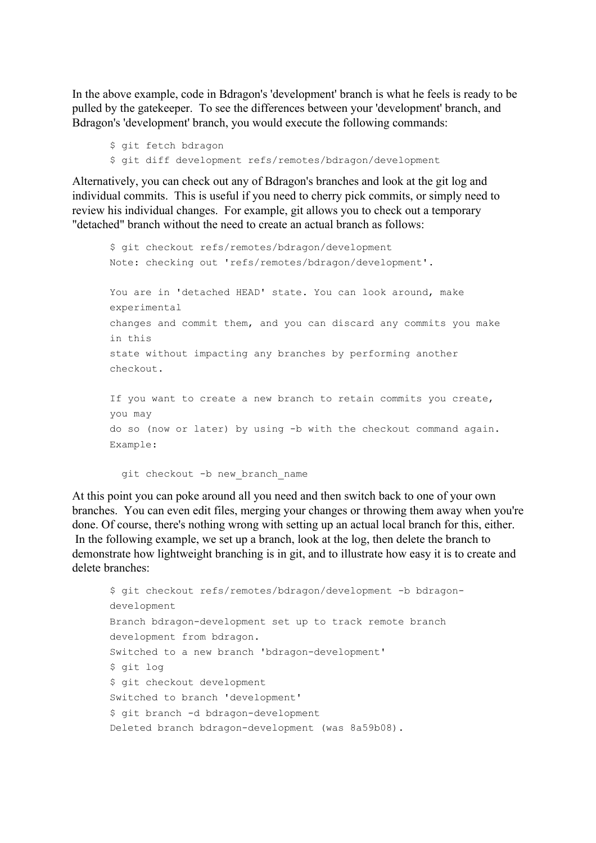In the above example, code in Bdragon's 'development' branch is what he feels is ready to be pulled by the gatekeeper. To see the differences between your 'development' branch, and Bdragon's 'development' branch, you would execute the following commands:

```
$ git fetch bdragon
$ git diff development refs/remotes/bdragon/development
```
Alternatively, you can check out any of Bdragon's branches and look at the git log and individual commits. This is useful if you need to cherry pick commits, or simply need to review his individual changes. For example, git allows you to check out a temporary "detached" branch without the need to create an actual branch as follows:

```
$ git checkout refs/remotes/bdragon/development
Note: checking out 'refs/remotes/bdragon/development'.
You are in 'detached HEAD' state. You can look around, make
experimental
changes and commit them, and you can discard any commits you make
in this
state without impacting any branches by performing another
checkout.
If you want to create a new branch to retain commits you create,
you may
do so (now or later) by using -b with the checkout command again.
Example:
```
git checkout -b new branch name

At this point you can poke around all you need and then switch back to one of your own branches. You can even edit files, merging your changes or throwing them away when you're done. Of course, there's nothing wrong with setting up an actual local branch for this, either. In the following example, we set up a branch, look at the log, then delete the branch to demonstrate how lightweight branching is in git, and to illustrate how easy it is to create and delete branches:

```
$ git checkout refs/remotes/bdragon/development -b bdragon-
development
Branch bdragon-development set up to track remote branch
development from bdragon.
Switched to a new branch 'bdragon-development'
$ git log
$ git checkout development
Switched to branch 'development'
$ git branch -d bdragon-development
Deleted branch bdragon-development (was 8a59b08).
```